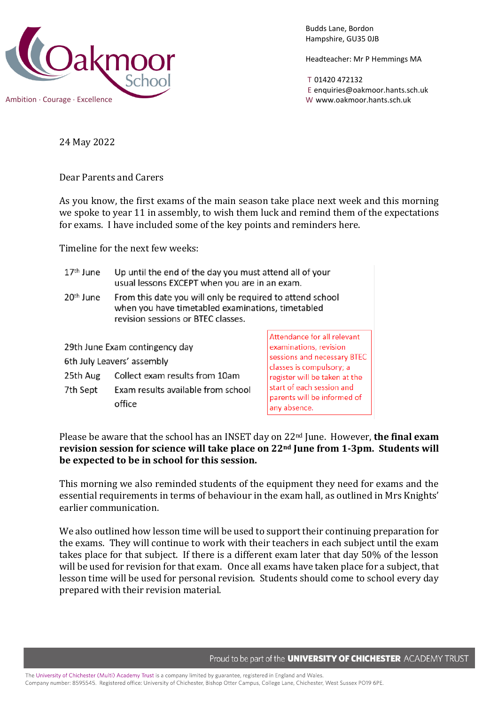

Budds Lane, Bordon Hampshire, GU35 0JB

Headteacher: Mr P Hemmings MA

T 01420 472132 E enquiries@oakmoor.hants.sch.uk

24 May 2022

Dear Parents and Carers

As you know, the first exams of the main season take place next week and this morning we spoke to year 11 in assembly, to wish them luck and remind them of the expectations for exams. I have included some of the key points and reminders here.

Timeline for the next few weeks:

| $17th$ June                                                                                                | Up until the end of the day you must attend all of your<br>usual lessons EXCEPT when you are in an exam.                                             |                                                                                                                  |
|------------------------------------------------------------------------------------------------------------|------------------------------------------------------------------------------------------------------------------------------------------------------|------------------------------------------------------------------------------------------------------------------|
| 20 <sup>th</sup> June                                                                                      | From this date you will only be required to attend school<br>when you have timetabled examinations, timetabled<br>revision sessions or BTEC classes. |                                                                                                                  |
| 29th June Exam contingency day<br>6th July Leavers' assembly<br>Collect exam results from 10am<br>25th Aug |                                                                                                                                                      | Attendance for all relevant<br>examinations, revision<br>sessions and necessary BTEC<br>classes is compulsory; a |
| 7th Sept                                                                                                   | Exam results available from school<br>office                                                                                                         | register will be taken at the<br>start of each session and<br>parents will be informed of<br>any absence.        |

Please be aware that the school has an INSET day on 22nd June. However, **the final exam**  revision session for science will take place on 22<sup>nd</sup> June from 1-3pm. Students will **be expected to be in school for this session.**

This morning we also reminded students of the equipment they need for exams and the essential requirements in terms of behaviour in the exam hall, as outlined in Mrs Knights' earlier communication.

We also outlined how lesson time will be used to support their continuing preparation for the exams. They will continue to work with their teachers in each subject until the exam takes place for that subject. If there is a different exam later that day 50% of the lesson will be used for revision for that exam. Once all exams have taken place for a subject, that lesson time will be used for personal revision. Students should come to school every day prepared with their revision material.

Proud to be part of the **UNIVERSITY OF CHICHESTER** ACADEMY TRUST